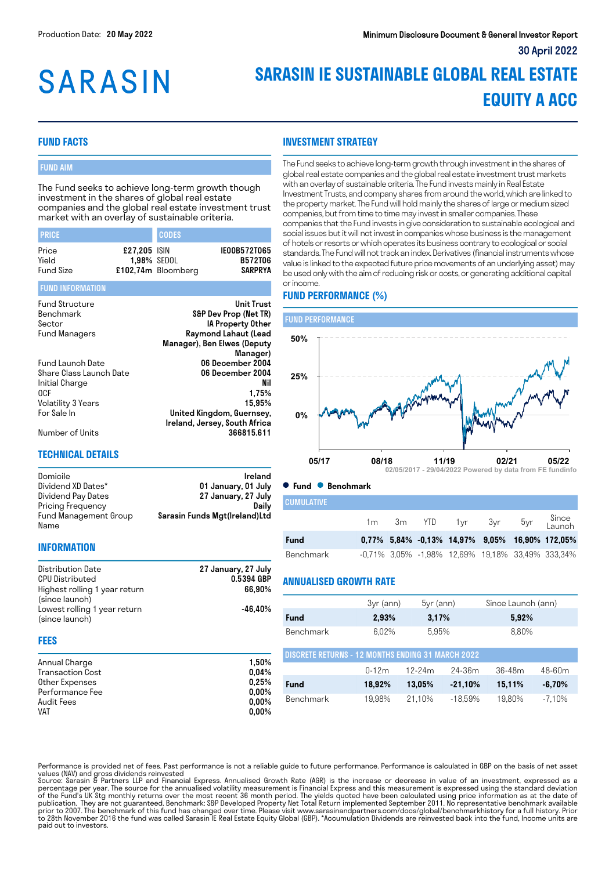# **SARASIN**

# **SARASIN IE SUSTAINABLE GLOBAL REAL ESTATE EQUITY A ACC**

# **FUND FACTS**

# FUND AIM

The Fund seeks to achieve long-term growth though investment in the shares of global real estate companies and the global real estate investment trust market with an overlay of sustainable criteria.

| <b>PRICE</b>                       |                                    | <b>CODES</b>       |                                                  |
|------------------------------------|------------------------------------|--------------------|--------------------------------------------------|
| Price<br>Yield<br><b>Fund Size</b> | £27,205 ISIN<br><b>1.98% SEDOL</b> | £102,74m Bloomberg | IE00B572T065<br><b>B572T06</b><br><b>SARPRYA</b> |

#### FUND INFORMATION

| <b>Fund Structure</b><br>Benchmark | <b>Unit Trust</b><br>S&P Dev Prop (Net TR) |
|------------------------------------|--------------------------------------------|
| Sector                             | IA Property Other                          |
| <b>Fund Managers</b>               | Raymond Lahaut (Lead                       |
|                                    | Manager), Ben Elwes (Deputy                |
|                                    | Manager)                                   |
| Fund Launch Date                   | 06 December 2004                           |
| Share Class Launch Date            | 06 December 2004                           |
| Initial Charge                     | Nil                                        |
| 0CF                                | 1,75%                                      |
| Volatility 3 Years                 | 15.95%                                     |
| For Sale In                        | United Kingdom, Guernsey,                  |
|                                    | Ireland, Jersey, South Africa              |
| Number of Units                    | 366815.611                                 |

#### **TECHNICAL DETAILS**

Domicile **Ireland** Dividend XD Dates\* 01 January, 01 July<br>Dividend Pay Dates 27 January, 27 July 27 January, 27 July<br>Daily Pricing Frequency Fund Management Group Name Sarasin Funds Mgt(Ireland)Ltd

#### **INFORMATION**

| Distribution Date             | 27 January, 27 July |
|-------------------------------|---------------------|
| <b>CPU Distributed</b>        | 0.5394 GBP          |
| Highest rolling 1 year return | 66.90%              |
| (since launch)                |                     |
| Lowest rolling 1 year return  | -46.40%             |
| (since launch)                |                     |

#### **FEES**

| Annual Charge           | 1.50%    |
|-------------------------|----------|
| <b>Transaction Cost</b> | 0.04%    |
| Other Expenses          | 0.25%    |
| Performance Fee         | $0.00\%$ |
| Audit Fees              | $0.00\%$ |
| <b>VAT</b>              | $0.00\%$ |

**INVESTMENT STRATEGY**

The Fund seeks to achieve long-term growth through investment in the shares of global real estate companies and the global real estate investment trust markets with an overlay of sustainable criteria. The Fund invests mainly in Real Estate Investment Trusts, and company shares from around the world, which are linked to the property market. The Fund will hold mainly the shares of large or medium sized companies, but from time to time may invest in smaller companies. These companies that the Fund invests in give consideration to sustainable ecological and social issues but it will not invest in companies whose business is the management of hotels or resorts or which operates its business contrary to ecological or social standards. The Fund will not track an index. Derivatives (financial instruments whose value is linked to the expected future price movements of an underlying asset) may be used only with the aim of reducing risk or costs, or generating additional capital or income.

# **FUND PERFORMANCE (%)**



**Fund Benchmark**

| <b>CUMULATIVE</b> |  |  |  |                                                        |
|-------------------|--|--|--|--------------------------------------------------------|
|                   |  |  |  | 1m 3m YTD 1yr 3yr 5yr Since                            |
| Fund              |  |  |  | 0.77% 5.84% -0.13% 14.97% 9.05% 16.90% 172.05%         |
| Benchmark         |  |  |  | $-0.71\%$ 3,05% $-1.98\%$ 12,69% 19,18% 33,49% 333,34% |

#### **ANNUALISED GROWTH RATE**

|                                                          | 3yr (ann) | $5yr$ (ann) |            | Since Launch (ann) |            |  |  |
|----------------------------------------------------------|-----------|-------------|------------|--------------------|------------|--|--|
| Fund                                                     | 2.93%     | 3,17%       |            | 5,92%              |            |  |  |
| <b>Benchmark</b>                                         | 6.02%     | 5.95%       |            | 8.80%              |            |  |  |
| <b>DISCRETE RETURNS - 12 MONTHS ENDING 31 MARCH 2022</b> |           |             |            |                    |            |  |  |
|                                                          | $0-12m$   | $12-24m$    | $24 - 36m$ | $36-48m$           | $48 - 60m$ |  |  |
| Fund                                                     | 18,92%    | 13.05%      | $-21,10%$  | 15,11%             | $-6.70%$   |  |  |
| <b>Benchmark</b>                                         | 19.98%    | 21.10%      | $-18.59%$  | 19.80%             | $-7.10%$   |  |  |

Performance is provided net of fees. Past performance is not a reliable guide to future performance. Performance is calculated in GBP on the basis of net asset values (NAV) and gross dividends reinvested<br>Source: Sarasin & Partners LLP and Financial Express. Annualised Growth Rate (AGR) is the increase or decrease in value of an investment, expressed as a

percentage per year. The source for the annualised volatility measurement is Financial Express and this measurement is expressed using the standard deviation of the Fund's UK Stg monthly returns over the most recent 36 month period. The yields quoted have been calculated using price information as at the date of<br>publication. They are not guaranteed. Benchmark: S&P Developed Pro paid out to investors.